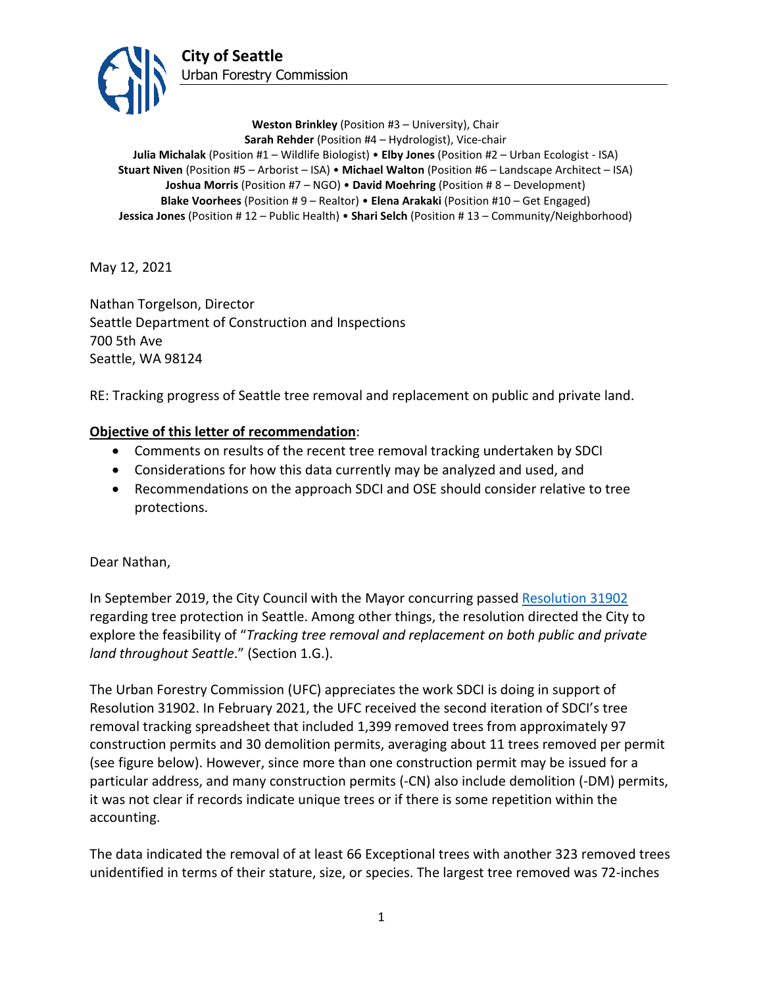

**Weston Brinkley** (Position #3 – University), Chair **Sarah Rehder** (Position #4 – Hydrologist), Vice-chair **Julia Michalak** (Position #1 – Wildlife Biologist) • **Elby Jones** (Position #2 – Urban Ecologist - ISA) **Stuart Niven** (Position #5 – Arborist – ISA) • **Michael Walton** (Position #6 – Landscape Architect – ISA) **Joshua Morris** (Position #7 – NGO) • **David Moehring** (Position # 8 – Development) **Blake Voorhees** (Position # 9 – Realtor) • **Elena Arakaki** (Position #10 – Get Engaged) **Jessica Jones** (Position # 12 – Public Health) • **Shari Selch** (Position # 13 – Community/Neighborhood)

May 12, 2021

Nathan Torgelson, Director Seattle Department of Construction and Inspections 700 5th Ave Seattle, WA 98124

RE: Tracking progress of Seattle tree removal and replacement on public and private land.

# **Objective of this letter of recommendation**:

- Comments on results of the recent tree removal tracking undertaken by SDCI
- Considerations for how this data currently may be analyzed and used, and
- Recommendations on the approach SDCI and OSE should consider relative to tree protections.

Dear Nathan,

In September 2019, the City Council with the Mayor concurring passed [Resolution](http://clerk.seattle.gov/search/resolutions/31902) 31902 regarding tree protection in Seattle. Among other things, the resolution directed the City to explore the feasibility of "*Tracking tree removal and replacement on both public and private land throughout Seattle*." (Section 1.G.).

The Urban Forestry Commission (UFC) appreciates the work SDCI is doing in support of Resolution 31902. In February 2021, the UFC received the second iteration of SDCI's tree removal tracking spreadsheet that included 1,399 removed trees from approximately 97 construction permits and 30 demolition permits, averaging about 11 trees removed per permit (see figure below). However, since more than one construction permit may be issued for a particular address, and many construction permits (-CN) also include demolition (-DM) permits, it was not clear if records indicate unique trees or if there is some repetition within the accounting.

The data indicated the removal of at least 66 Exceptional trees with another 323 removed trees unidentified in terms of their stature, size, or species. The largest tree removed was 72-inches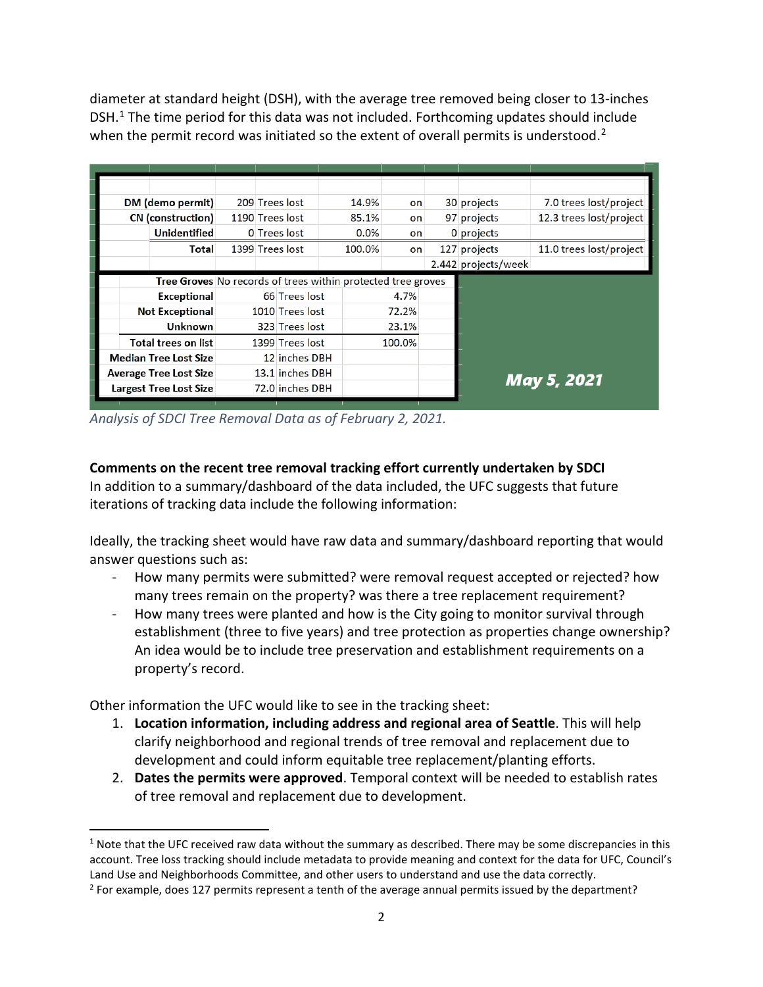diameter at standard height (DSH), with the average tree removed being closer to 13-inches DSH.<sup>[1](#page-1-0)</sup> The time period for this data was not included. Forthcoming updates should include when the permit record was initiated so the extent of overall permits is understood.<sup>[2](#page-1-1)</sup>

|                               | DM (demo permit)              |                                                              | 209 Trees lost  | 14.9%  | on     |  | 30 projects         | 7.0 trees lost/project  |
|-------------------------------|-------------------------------|--------------------------------------------------------------|-----------------|--------|--------|--|---------------------|-------------------------|
|                               | <b>CN</b> (construction)      |                                                              | 1190 Trees lost | 85.1%  | on     |  | 97 projects         | 12.3 trees lost/project |
|                               | <b>Unidentified</b>           |                                                              | 0 Trees lost    | 0.0%   | on     |  | 0 projects          |                         |
|                               | Total                         |                                                              | 1399 Trees lost | 100.0% | on     |  | 127 projects        | 11.0 trees lost/project |
|                               |                               |                                                              |                 |        |        |  | 2.442 projects/week |                         |
|                               |                               | Tree Groves No records of trees within protected tree groves |                 |        |        |  |                     |                         |
|                               | Exceptional                   |                                                              | 66 Trees lost   |        | 4.7%   |  |                     |                         |
|                               | <b>Not Exceptional</b>        |                                                              | 1010 Trees lost |        | 72.2%  |  |                     |                         |
|                               | <b>Unknown</b>                |                                                              | 323 Trees lost  |        |        |  |                     |                         |
|                               | Total trees on list           | 1399 Trees lost                                              |                 |        | 100.0% |  |                     |                         |
| <b>Median Tree Lost Size</b>  |                               |                                                              | 12 inches DBH   |        |        |  |                     |                         |
| <b>Average Tree Lost Size</b> |                               |                                                              | 13.1 inches DBH |        |        |  |                     | May 5, 2021             |
|                               | <b>Largest Tree Lost Size</b> |                                                              |                 |        |        |  |                     |                         |
|                               |                               |                                                              | 72.0 inches DBH |        |        |  |                     |                         |

*Analysis of SDCI Tree Removal Data as of February 2, 2021.*

# **Comments on the recent tree removal tracking effort currently undertaken by SDCI**

In addition to a summary/dashboard of the data included, the UFC suggests that future iterations of tracking data include the following information:

Ideally, the tracking sheet would have raw data and summary/dashboard reporting that would answer questions such as:

- How many permits were submitted? were removal request accepted or rejected? how many trees remain on the property? was there a tree replacement requirement?
- How many trees were planted and how is the City going to monitor survival through establishment (three to five years) and tree protection as properties change ownership? An idea would be to include tree preservation and establishment requirements on a property's record.

Other information the UFC would like to see in the tracking sheet:

- 1. **Location information, including address and regional area of Seattle**. This will help clarify neighborhood and regional trends of tree removal and replacement due to development and could inform equitable tree replacement/planting efforts.
- 2. **Dates the permits were approved**. Temporal context will be needed to establish rates of tree removal and replacement due to development.

<span id="page-1-0"></span> $1$  Note that the UFC received raw data without the summary as described. There may be some discrepancies in this account. Tree loss tracking should include metadata to provide meaning and context for the data for UFC, Council's Land Use and Neighborhoods Committee, and other users to understand and use the data correctly.<br><sup>2</sup> For example, does 127 permits represent a tenth of the average annual permits issued by the department?

<span id="page-1-1"></span>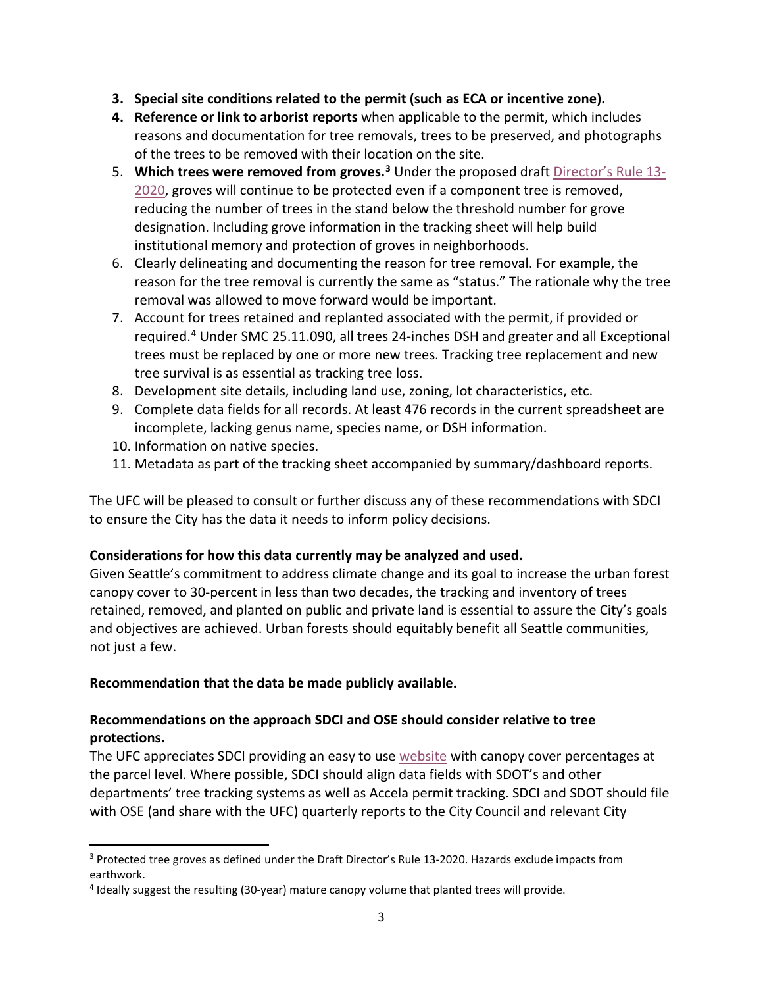- **3. Special site conditions related to the permit (such as ECA or incentive zone).**
- **4. Reference or link to arborist reports** when applicable to the permit, which includes reasons and documentation for tree removals, trees to be preserved, and photographs of the trees to be removed with their location on the site.
- 5. **Which trees were removed from groves. [3](#page-2-0)** Under the proposed draft [Director's Rule 13-](http://www.seattle.gov/Documents/Departments/UrbanForestryCommission/Resources/07.16.2020%20DDR2020-13.pdf) [2020,](http://www.seattle.gov/Documents/Departments/UrbanForestryCommission/Resources/07.16.2020%20DDR2020-13.pdf) groves will continue to be protected even if a component tree is removed, reducing the number of trees in the stand below the threshold number for grove designation. Including grove information in the tracking sheet will help build institutional memory and protection of groves in neighborhoods.
- 6. Clearly delineating and documenting the reason for tree removal. For example, the reason for the tree removal is currently the same as "status." The rationale why the tree removal was allowed to move forward would be important.
- 7. Account for trees retained and replanted associated with the permit, if provided or required. [4](#page-2-1) Under SMC 25.11.090, all trees 24-inches DSH and greater and all Exceptional trees must be replaced by one or more new trees. Tracking tree replacement and new tree survival is as essential as tracking tree loss.
- 8. Development site details, including land use, zoning, lot characteristics, etc.
- 9. Complete data fields for all records. At least 476 records in the current spreadsheet are incomplete, lacking genus name, species name, or DSH information.
- 10. Information on native species.
- 11. Metadata as part of the tracking sheet accompanied by summary/dashboard reports.

The UFC will be pleased to consult or further discuss any of these recommendations with SDCI to ensure the City has the data it needs to inform policy decisions.

## **Considerations for how this data currently may be analyzed and used.**

Given Seattle's commitment to address climate change and its goal to increase the urban forest canopy cover to 30-percent in less than two decades, the tracking and inventory of trees retained, removed, and planted on public and private land is essential to assure the City's goals and objectives are achieved. Urban forests should equitably benefit all Seattle communities, not just a few.

## **Recommendation that the data be made publicly available.**

# **Recommendations on the approach SDCI and OSE should consider relative to tree protections.**

The UFC appreciates SDCI providing an easy to use [website](https://seattlecitygis.maps.arcgis.com/apps/webappviewer/index.html?id=f822b2c6498c4163b0cf908e2241e9c2) with canopy cover percentages at the parcel level. Where possible, SDCI should align data fields with SDOT's and other departments' tree tracking systems as well as Accela permit tracking. SDCI and SDOT should file with OSE (and share with the UFC) quarterly reports to the City Council and relevant City

<span id="page-2-0"></span><sup>3</sup> Protected tree groves as defined under the Draft Director's Rule 13-2020. Hazards exclude impacts from earthwork.

<span id="page-2-1"></span><sup>4</sup> Ideally suggest the resulting (30-year) mature canopy volume that planted trees will provide.